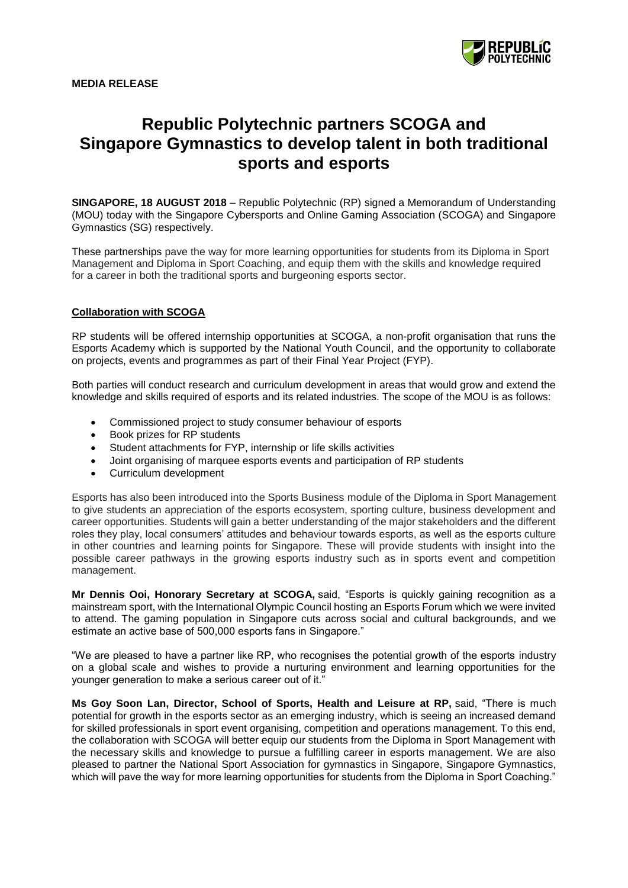

# **Republic Polytechnic partners SCOGA and Singapore Gymnastics to develop talent in both traditional sports and esports**

**SINGAPORE, 18 AUGUST 2018** – Republic Polytechnic (RP) signed a Memorandum of Understanding (MOU) today with the Singapore Cybersports and Online Gaming Association (SCOGA) and Singapore Gymnastics (SG) respectively.

These partnerships pave the way for more learning opportunities for students from its Diploma in Sport Management and Diploma in Sport Coaching, and equip them with the skills and knowledge required for a career in both the traditional sports and burgeoning esports sector.

## **Collaboration with SCOGA**

RP students will be offered internship opportunities at SCOGA, a non-profit organisation that runs the Esports Academy which is supported by the National Youth Council, and the opportunity to collaborate on projects, events and programmes as part of their Final Year Project (FYP).

Both parties will conduct research and curriculum development in areas that would grow and extend the knowledge and skills required of esports and its related industries. The scope of the MOU is as follows:

- Commissioned project to study consumer behaviour of esports
- Book prizes for RP students
- Student attachments for FYP, internship or life skills activities
- Joint organising of marquee esports events and participation of RP students
- Curriculum development

Esports has also been introduced into the Sports Business module of the Diploma in Sport Management to give students an appreciation of the esports ecosystem, sporting culture, business development and career opportunities. Students will gain a better understanding of the major stakeholders and the different roles they play, local consumers' attitudes and behaviour towards esports, as well as the esports culture in other countries and learning points for Singapore. These will provide students with insight into the possible career pathways in the growing esports industry such as in sports event and competition management.

**Mr Dennis Ooi, Honorary Secretary at SCOGA,** said, "Esports is quickly gaining recognition as a mainstream sport, with the International Olympic Council hosting an Esports Forum which we were invited to attend. The gaming population in Singapore cuts across social and cultural backgrounds, and we estimate an active base of 500,000 esports fans in Singapore."

"We are pleased to have a partner like RP, who recognises the potential growth of the esports industry on a global scale and wishes to provide a nurturing environment and learning opportunities for the younger generation to make a serious career out of it.'

**Ms Goy Soon Lan, Director, School of Sports, Health and Leisure at RP,** said, "There is much potential for growth in the esports sector as an emerging industry, which is seeing an increased demand for skilled professionals in sport event organising, competition and operations management. To this end, the collaboration with SCOGA will better equip our students from the Diploma in Sport Management with the necessary skills and knowledge to pursue a fulfilling career in esports management. We are also pleased to partner the National Sport Association for gymnastics in Singapore, Singapore Gymnastics, which will pave the way for more learning opportunities for students from the Diploma in Sport Coaching."